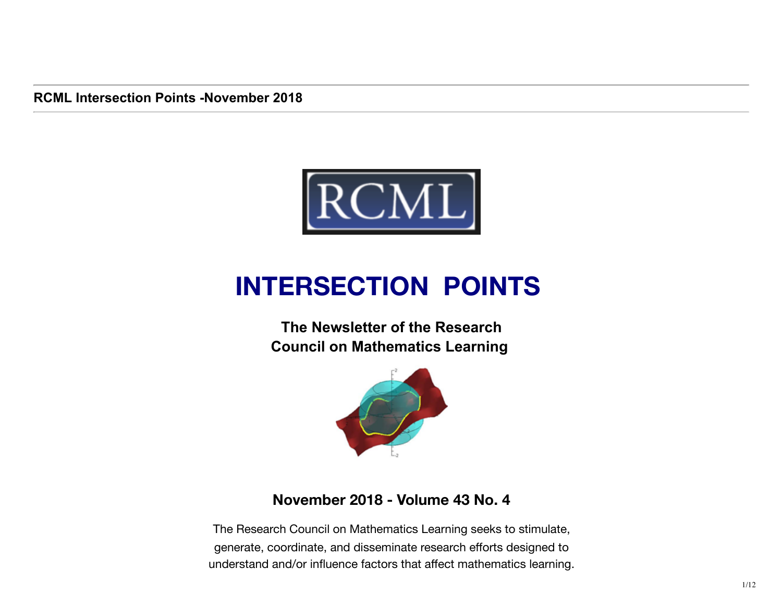**RCML Intersection Points -November 2018** 



# **INTERSECTION POINTS**

**The Newsletter of the Research Council on Mathematics Learning** 



### **November 2018 - Volume 43 No. 4**

The Research Council on Mathematics Learning seeks to stimulate, generate, coordinate, and disseminate research efforts designed to understand and/or influence factors that affect mathematics learning.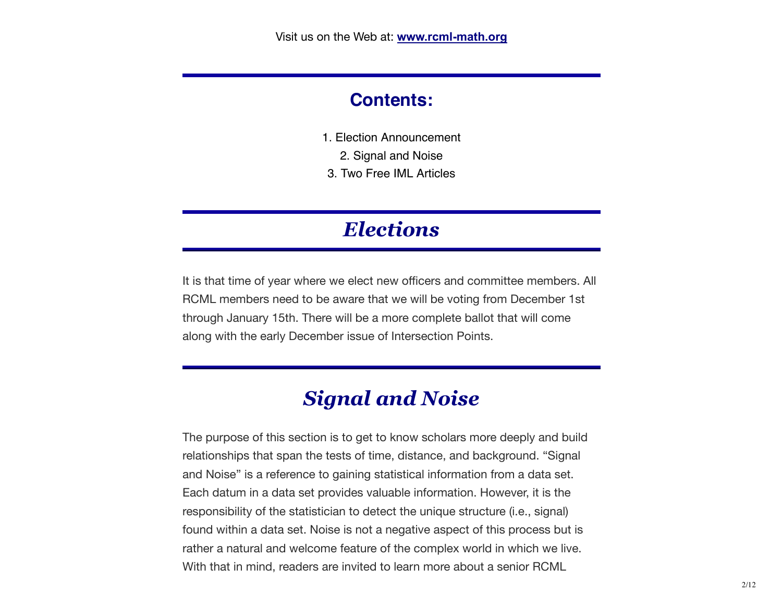## **Contents:**

- 1. Election Announcement
	- 2. Signal and Noise
- 3. Two Free IML Articles

## *Elections*

It is that time of year where we elect new officers and committee members. All RCML members need to be aware that we will be voting from December 1st through January 15th. There will be a more complete ballot that will come along with the early December issue of Intersection Points.

## *Signal and Noise*

The purpose of this section is to get to know scholars more deeply and build relationships that span the tests of time, distance, and background. "Signal and Noise" is a reference to gaining statistical information from a data set. Each datum in a data set provides valuable information. However, it is the responsibility of the statistician to detect the unique structure (i.e., signal) found within a data set. Noise is not a negative aspect of this process but is rather a natural and welcome feature of the complex world in which we live. With that in mind, readers are invited to learn more about a senior RCML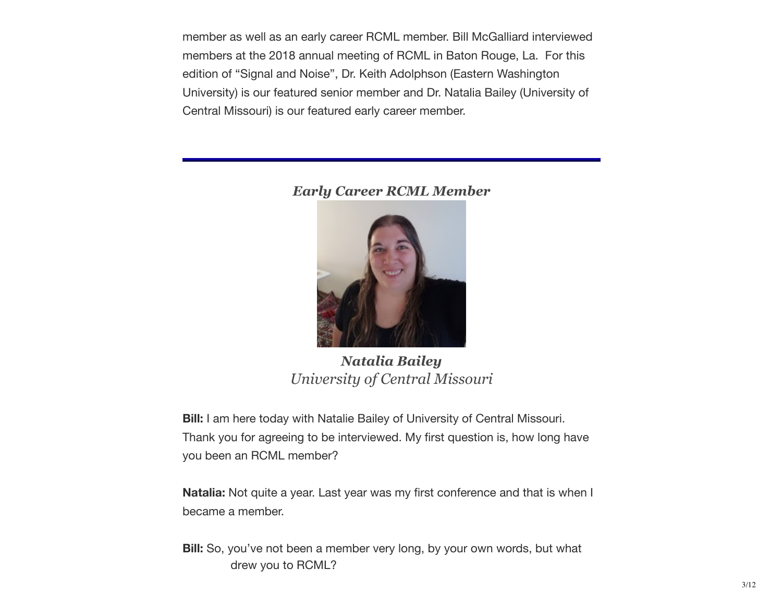member as well as an early career RCML member. Bill McGalliard interviewed members at the 2018 annual meeting of RCML in Baton Rouge, La. For this edition of "Signal and Noise", Dr. Keith Adolphson (Eastern Washington University) is our featured senior member and Dr. Natalia Bailey (University of Central Missouri) is our featured early career member.

#### *Early Career RCML Member*



*Natalia Bailey University of Central Missouri*

**Bill:** I am here today with Natalie Bailey of University of Central Missouri. Thank you for agreeing to be interviewed. My first question is, how long have you been an RCML member?

**Natalia:** Not quite a year. Last year was my first conference and that is when I became a member.

**Bill:** So, you've not been a member very long, by your own words, but what drew you to RCML?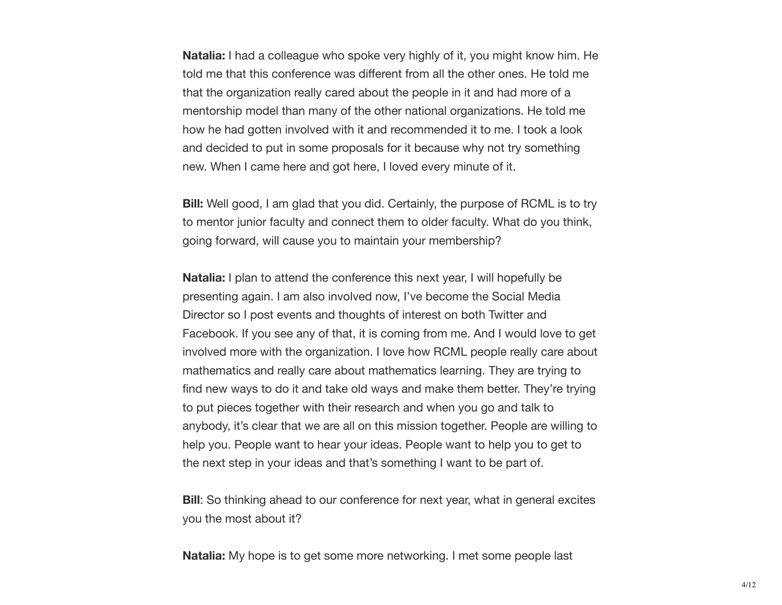**Natalia:** I had a colleague who spoke very highly of it, you might know him. He told me that this conference was different from all the other ones. He told me that the organization really cared about the people in it and had more of a mentorship model than many of the other national organizations. He told me how he had gotten involved with it and recommended it to me. I took a look and decided to put in some proposals for it because why not try something new. When I came here and got here, I loved every minute of it.

**Bill:** Well good, I am glad that you did. Certainly, the purpose of RCML is to try to mentor junior faculty and connect them to older faculty. What do you think, going forward, will cause you to maintain your membership?

**Natalia:** I plan to attend the conference this next year, I will hopefully be presenting again. I am also involved now, I've become the Social Media Director so I post events and thoughts of interest on both Twitter and Facebook. If you see any of that, it is coming from me. And I would love to get involved more with the organization. I love how RCML people really care about mathematics and really care about mathematics learning. They are trying to find new ways to do it and take old ways and make them better. They're trying to put pieces together with their research and when you go and talk to anybody, it's clear that we are all on this mission together. People are willing to help you. People want to hear your ideas. People want to help you to get to the next step in your ideas and that's something I want to be part of.

**Bill**: So thinking ahead to our conference for next year, what in general excites you the most about it?

**Natalia:** My hope is to get some more networking. I met some people last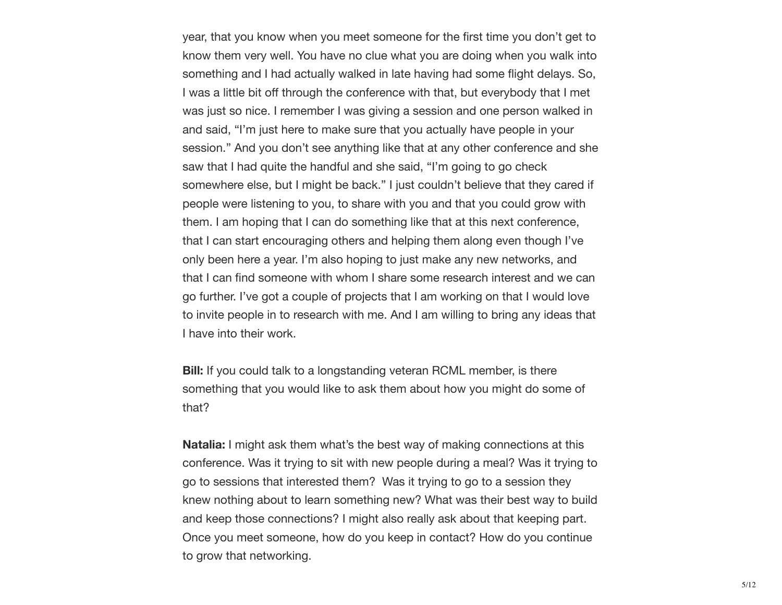year, that you know when you meet someone for the first time you don't get to know them very well. You have no clue what you are doing when you walk into something and I had actually walked in late having had some flight delays. So, I was a little bit off through the conference with that, but everybody that I met was just so nice. I remember I was giving a session and one person walked in and said, "I'm just here to make sure that you actually have people in your session." And you don't see anything like that at any other conference and she saw that I had quite the handful and she said, "I'm going to go check somewhere else, but I might be back." I just couldn't believe that they cared if people were listening to you, to share with you and that you could grow with them. I am hoping that I can do something like that at this next conference, that I can start encouraging others and helping them along even though I've only been here a year. I'm also hoping to just make any new networks, and that I can find someone with whom I share some research interest and we can go further. I've got a couple of projects that I am working on that I would love to invite people in to research with me. And I am willing to bring any ideas that I have into their work.

**Bill:** If you could talk to a longstanding veteran RCML member, is there something that you would like to ask them about how you might do some of that?

**Natalia:** I might ask them what's the best way of making connections at this conference. Was it trying to sit with new people during a meal? Was it trying to go to sessions that interested them? Was it trying to go to a session they knew nothing about to learn something new? What was their best way to build and keep those connections? I might also really ask about that keeping part. Once you meet someone, how do you keep in contact? How do you continue to grow that networking.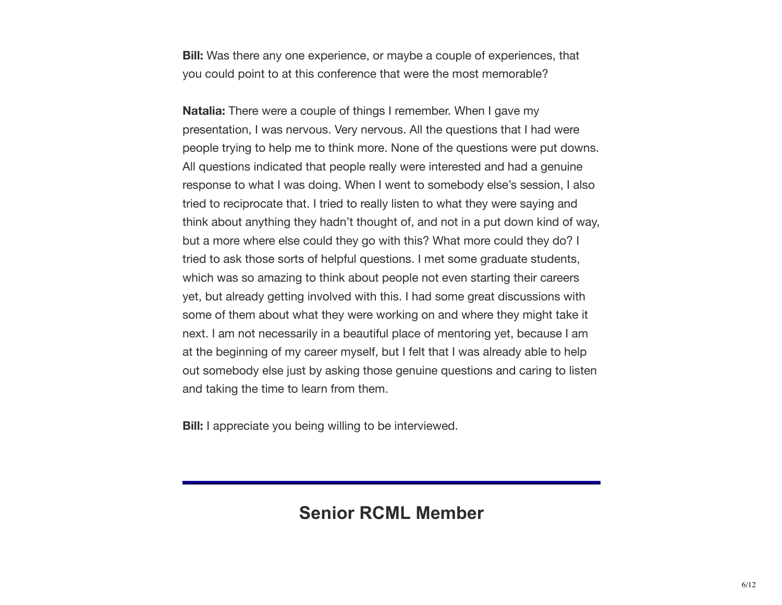**Bill:** Was there any one experience, or maybe a couple of experiences, that you could point to at this conference that were the most memorable?

**Natalia:** There were a couple of things I remember. When I gave my presentation, I was nervous. Very nervous. All the questions that I had were people trying to help me to think more. None of the questions were put downs. All questions indicated that people really were interested and had a genuine response to what I was doing. When I went to somebody else's session, I also tried to reciprocate that. I tried to really listen to what they were saying and think about anything they hadn't thought of, and not in a put down kind of way, but a more where else could they go with this? What more could they do? I tried to ask those sorts of helpful questions. I met some graduate students, which was so amazing to think about people not even starting their careers yet, but already getting involved with this. I had some great discussions with some of them about what they were working on and where they might take it next. I am not necessarily in a beautiful place of mentoring yet, because I am at the beginning of my career myself, but I felt that I was already able to help out somebody else just by asking those genuine questions and caring to listen and taking the time to learn from them.

**Bill:** I appreciate you being willing to be interviewed.

## **Senior RCML Member**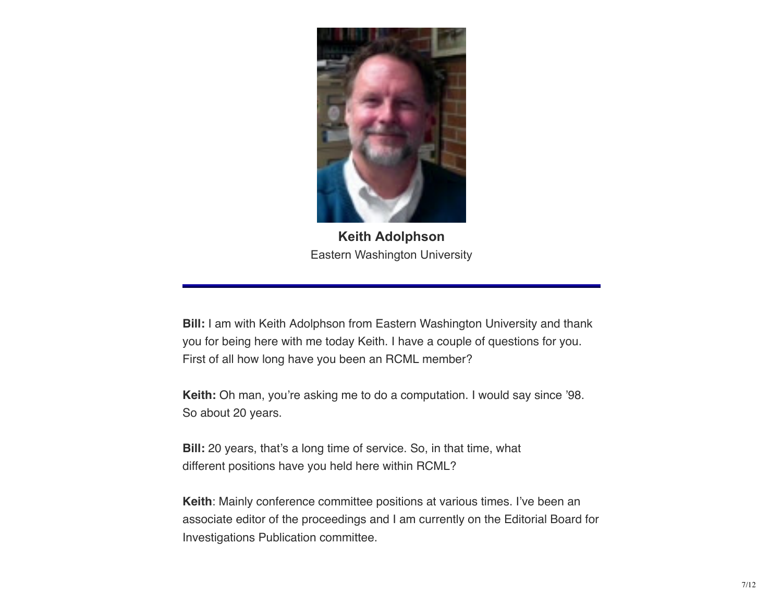

**Keith Adolphson** Eastern Washington University

**Bill:** I am with Keith Adolphson from Eastern Washington University and thank you for being here with me today Keith. I have a couple of questions for you. First of all how long have you been an RCML member?

**Keith:** Oh man, you're asking me to do a computation. I would say since '98. So about 20 years.

**Bill:** 20 years, that's a long time of service. So, in that time, what different positions have you held here within RCML?

**Keith**: Mainly conference committee positions at various times. I've been an associate editor of the proceedings and I am currently on the Editorial Board for Investigations Publication committee.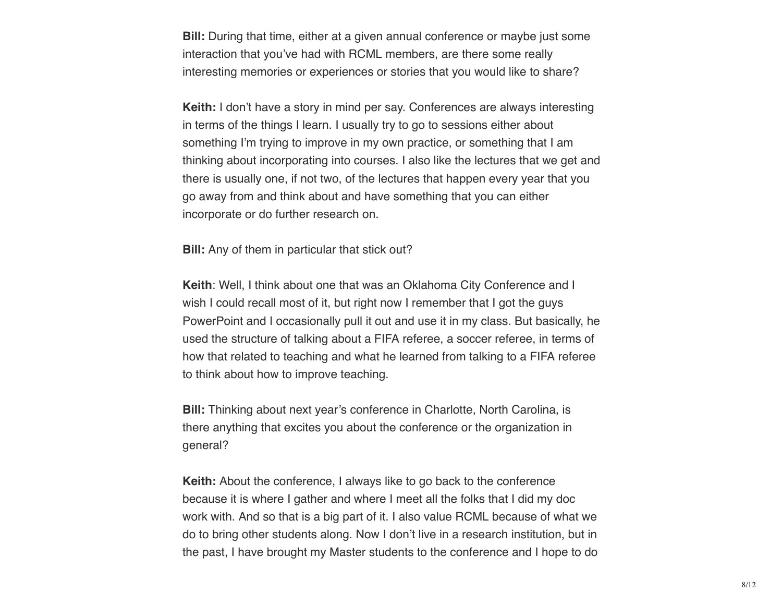**Bill:** During that time, either at a given annual conference or maybe just some interaction that you've had with RCML members, are there some really interesting memories or experiences or stories that you would like to share?

**Keith:** I don't have a story in mind per say. Conferences are always interesting in terms of the things I learn. I usually try to go to sessions either about something I'm trying to improve in my own practice, or something that I am thinking about incorporating into courses. I also like the lectures that we get and there is usually one, if not two, of the lectures that happen every year that you go away from and think about and have something that you can either incorporate or do further research on.

**Bill:** Any of them in particular that stick out?

**Keith**: Well, I think about one that was an Oklahoma City Conference and I wish I could recall most of it, but right now I remember that I got the guys PowerPoint and I occasionally pull it out and use it in my class. But basically, he used the structure of talking about a FIFA referee, a soccer referee, in terms of how that related to teaching and what he learned from talking to a FIFA referee to think about how to improve teaching.

**Bill:** Thinking about next year's conference in Charlotte, North Carolina, is there anything that excites you about the conference or the organization in general?

**Keith:** About the conference, I always like to go back to the conference because it is where I gather and where I meet all the folks that I did my doc work with. And so that is a big part of it. I also value RCML because of what we do to bring other students along. Now I don't live in a research institution, but in the past, I have brought my Master students to the conference and I hope to do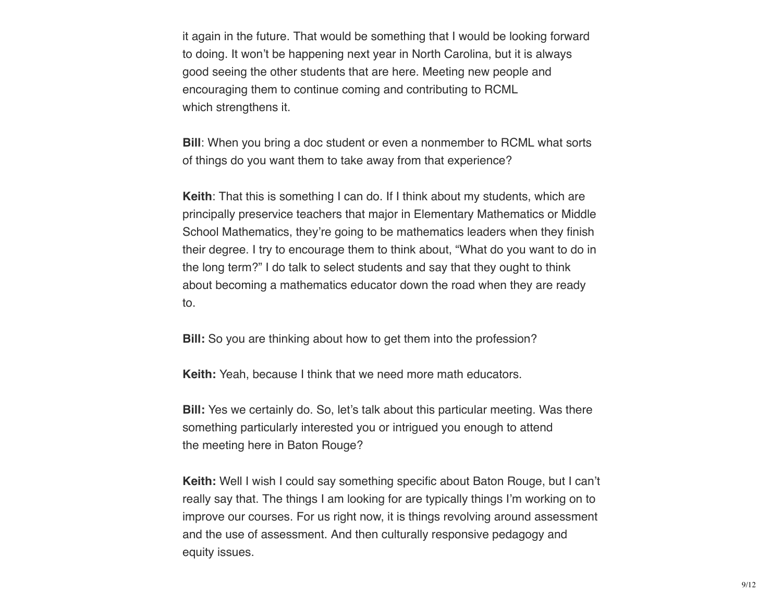it again in the future. That would be something that I would be looking forward to doing. It won't be happening next year in North Carolina, but it is always good seeing the other students that are here. Meeting new people and encouraging them to continue coming and contributing to RCML which strengthens it.

**Bill**: When you bring a doc student or even a nonmember to RCML what sorts of things do you want them to take away from that experience?

**Keith**: That this is something I can do. If I think about my students, which are principally preservice teachers that major in Elementary Mathematics or Middle School Mathematics, they're going to be mathematics leaders when they finish their degree. I try to encourage them to think about, "What do you want to do in the long term?" I do talk to select students and say that they ought to think about becoming a mathematics educator down the road when they are ready to.

**Bill:** So you are thinking about how to get them into the profession?

**Keith:** Yeah, because I think that we need more math educators.

**Bill:** Yes we certainly do. So, let's talk about this particular meeting. Was there something particularly interested you or intrigued you enough to attend the meeting here in Baton Rouge?

**Keith:** Well I wish I could say something specific about Baton Rouge, but I can't really say that. The things I am looking for are typically things I'm working on to improve our courses. For us right now, it is things revolving around assessment and the use of assessment. And then culturally responsive pedagogy and equity issues.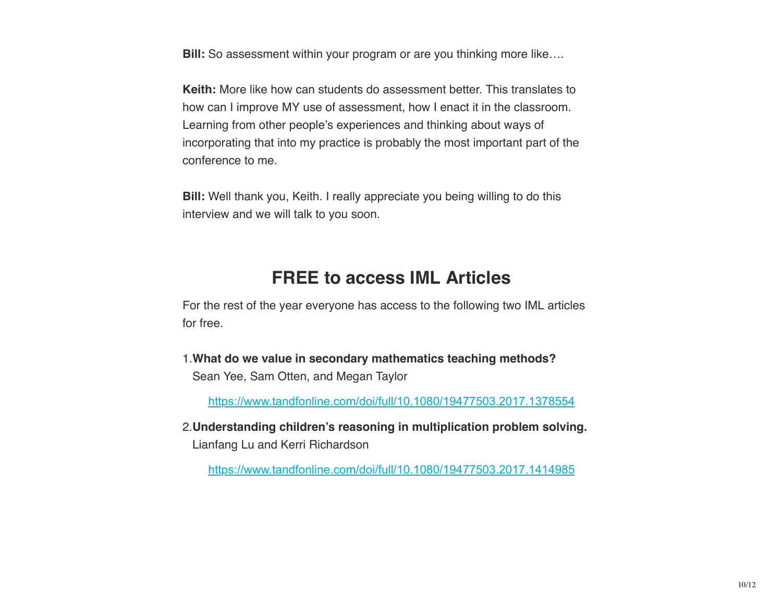**Bill:** So assessment within your program or are you thinking more like....

**Keith:** More like how can students do assessment better. This translates to how can I improve MY use of assessment, how I enact it in the classroom. Learning from other people's experiences and thinking about ways of incorporating that into my practice is probably the most important part of the conference to me.

**Bill:** Well thank you, Keith. I really appreciate you being willing to do this interview and we will talk to you soon.

## **FREE to access IML Articles**

For the rest of the year everyone has access to the following two IML articles for free.

1.**What do we value in secondary mathematics teaching methods?** Sean Yee, Sam Otten, and Megan Taylor

https://www.tandfonline.com/doi/full/10.1080/19477503.2017.1378554

2.**Understanding children's reasoning in multiplication problem solving.** Lianfang Lu and Kerri Richardson

https://www.tandfonline.com/doi/full/10.1080/19477503.2017.1414985